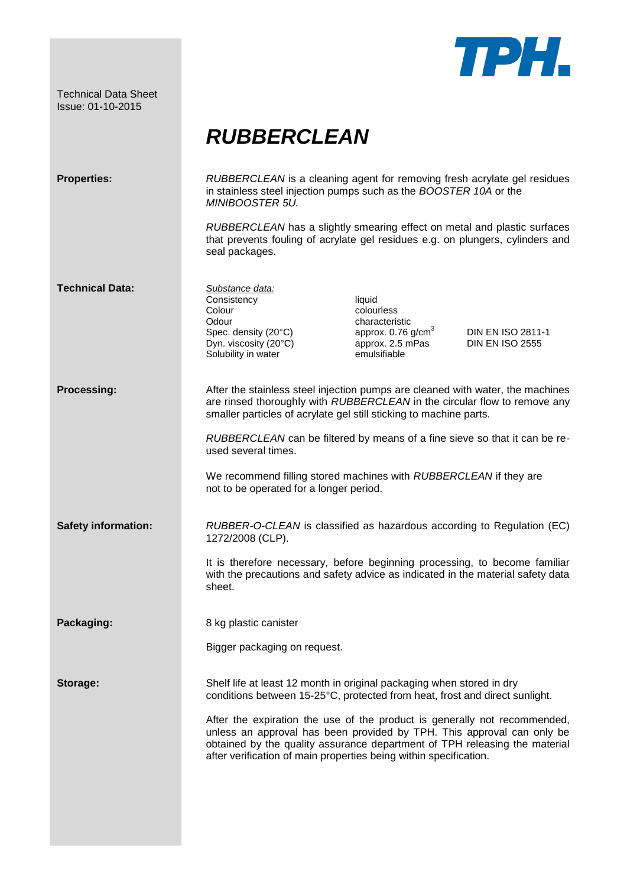Technical Data Sheet Issue: 01-10-2015



## *RUBBERCLEAN*

| <b>Properties:</b>         | RUBBERCLEAN is a cleaning agent for removing fresh acrylate gel residues<br>in stainless steel injection pumps such as the BOOSTER 10A or the<br>MINIBOOSTER 5U.                                                                                                                                       |
|----------------------------|--------------------------------------------------------------------------------------------------------------------------------------------------------------------------------------------------------------------------------------------------------------------------------------------------------|
|                            | RUBBERCLEAN has a slightly smearing effect on metal and plastic surfaces<br>that prevents fouling of acrylate gel residues e.g. on plungers, cylinders and<br>seal packages.                                                                                                                           |
| <b>Technical Data:</b>     | Substance data:<br>Consistency<br>liquid<br>Colour<br>colourless<br>Odour<br>characteristic<br>approx. 0.76 g/cm <sup>3</sup><br>Spec. density (20°C)<br>DIN EN ISO 2811-1<br>Dyn. viscosity (20°C)<br>approx. 2.5 mPas<br><b>DIN EN ISO 2555</b><br>Solubility in water<br>emulsifiable               |
| <b>Processing:</b>         | After the stainless steel injection pumps are cleaned with water, the machines<br>are rinsed thoroughly with RUBBERCLEAN in the circular flow to remove any<br>smaller particles of acrylate gel still sticking to machine parts.                                                                      |
|                            | RUBBERCLEAN can be filtered by means of a fine sieve so that it can be re-<br>used several times.                                                                                                                                                                                                      |
|                            | We recommend filling stored machines with RUBBERCLEAN if they are<br>not to be operated for a longer period.                                                                                                                                                                                           |
| <b>Safety information:</b> | RUBBER-O-CLEAN is classified as hazardous according to Regulation (EC)<br>1272/2008 (CLP).                                                                                                                                                                                                             |
|                            | It is therefore necessary, before beginning processing, to become familiar<br>with the precautions and safety advice as indicated in the material safety data<br>sheet.                                                                                                                                |
| Packaging:                 | 8 kg plastic canister                                                                                                                                                                                                                                                                                  |
|                            | Bigger packaging on request.                                                                                                                                                                                                                                                                           |
| Storage:                   | Shelf life at least 12 month in original packaging when stored in dry<br>conditions between 15-25°C, protected from heat, frost and direct sunlight.                                                                                                                                                   |
|                            | After the expiration the use of the product is generally not recommended,<br>unless an approval has been provided by TPH. This approval can only be<br>obtained by the quality assurance department of TPH releasing the material<br>after verification of main properties being within specification. |
|                            |                                                                                                                                                                                                                                                                                                        |
|                            |                                                                                                                                                                                                                                                                                                        |